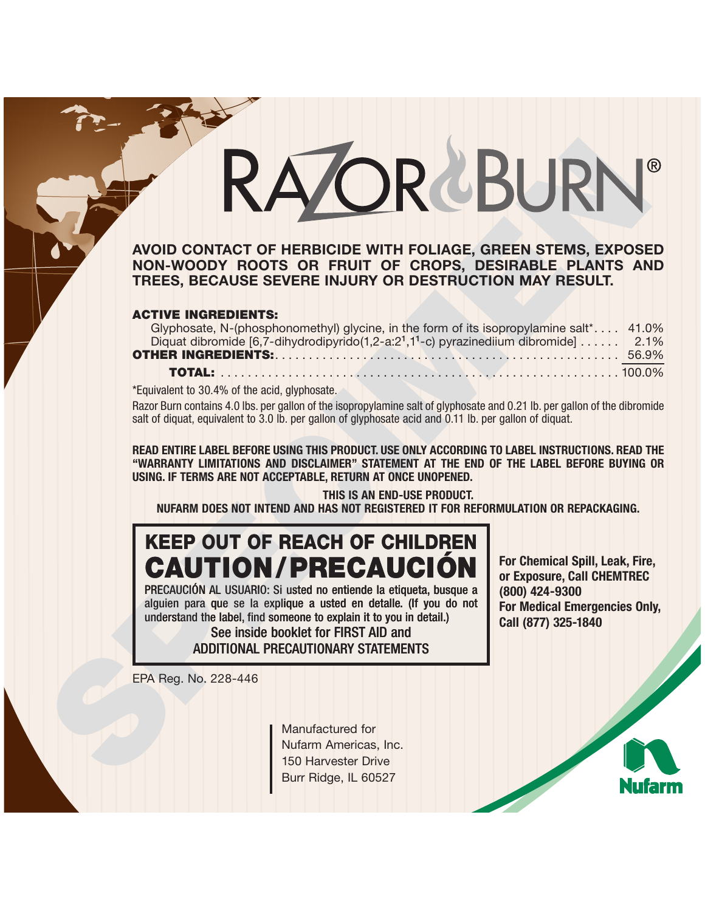# **EXAMPLE CONTRACT CONTRACT CONTRACT CONTRACT CONTRACT CONTRACT CONTRACT CONTRACT CONTRACT CONTRACT CONTRACT CONTRACT CONTRACT CONTRACT CONTRACT CONTRACT CONTRACT CONTRACT CONTRACT CONTRACT CONTRACT CONTRACT CONTRACT CONTRA**

### **AVOID CONTACT OF HERBICIDE WITH FOLIAGE, GREEN STEMS, EXPOSED NON-WOODY ROOTS OR FRUIT OF CROPS, DESIRABLE PLANTS AND TREES, BECAUSE SEVERE INJURY OR DESTRUCTION MAY RESULT.**

### **ACTIVE INGREDIENTS:**

| Glyphosate, N-(phosphonomethyl) glycine, in the form of its isopropylamine salt* 41.0%                       |  |  |  |  |  |
|--------------------------------------------------------------------------------------------------------------|--|--|--|--|--|
| Diquat dibromide [6,7-dihydrodipyrido(1,2-a:2 <sup>1</sup> ,1 <sup>1</sup> -c) pyrazinediium dibromide] 2.1% |  |  |  |  |  |
|                                                                                                              |  |  |  |  |  |
|                                                                                                              |  |  |  |  |  |

\*Equivalent to 30.4% of the acid, glyphosate.

Razor Burn contains 4.0 lbs. per gallon of the isopropylamine salt of glyphosate and 0.21 lb. per gallon of the dibromide salt of diquat, equivalent to 3.0 lb. per gallon of glyphosate acid and 0.11 lb. per gallon of diquat.

**READ ENTIRE LABEL BEFORE USING THIS PRODUCT. USE ONLY ACCORDING TO LABEL INSTRUCTIONS. READ THE "WARRANTY LIMITATIONS AND DISCLAIMER" STATEMENT AT THE END OF THE LABEL BEFORE BUYING OR USING. IF TERMS ARE NOT ACCEPTABLE, RETURN AT ONCE UNOPENED.**

**THIS IS AN END-USE PRODUCT. NUFARM DOES NOT INTEND AND HAS NOT REGISTERED IT FOR REFORMULATION OR REPACKAGING.** 

# **KEEP OUT OF REACH OF CHILDREN CAUTION/PRECAUCIÓ**

PRECAUCIÓN AL USUARIO: Si usted no entiende la etiqueta, busque a alguien para que se la explique a usted en detalle. (If you do not understand the label, find someone to explain it to you in detail.)

> See inside booklet for FIRST AID and ADDITIONAL PRECAUTIONARY STATEMENTS

**For Chemical Spill, Leak, Fire, or Exposure, Call CHEMTREC (800) 424-9300 For Medical Emergencies Only, Call (877) 325-1840**

EPA Reg. No. 228-446

Manufactured for Nufarm Americas, Inc. Burr Ridge, IL 60527

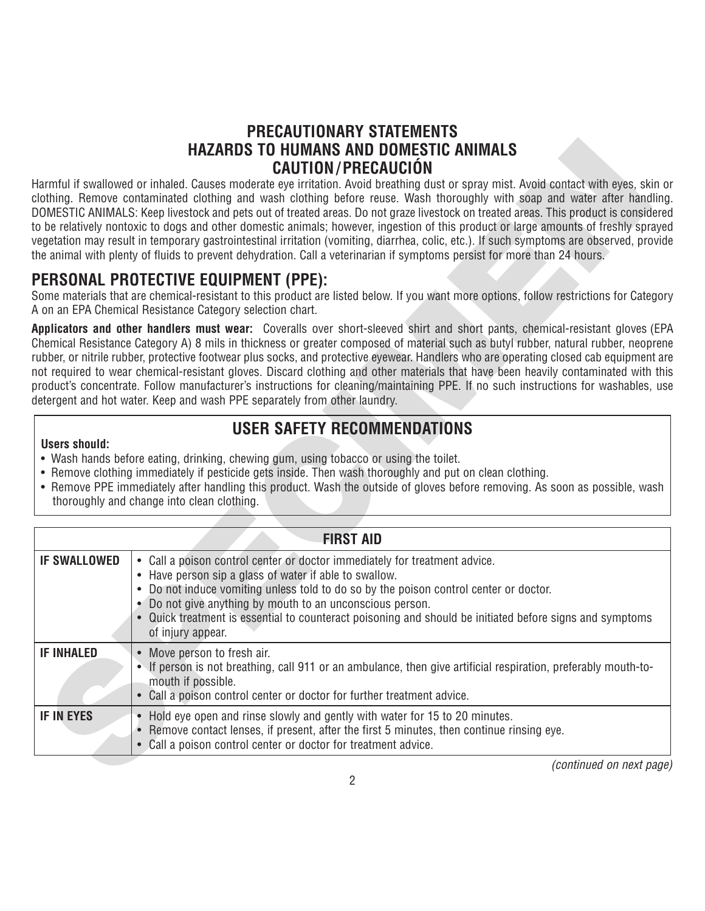### **PRECAUTIONARY STATEMENTS HAZARDS TO HUMANS AND DOMESTIC ANIMALS CAUTION/PRECAUCIÓN**

### **PERSONAL PROTECTIVE EQUIPMENT (PPE):**

# **USER SAFETY RECOMMENDATIONS**

- **Users should:** • Wash hands before eating, drinking, chewing gum, using tobacco or using the toilet.
- Remove clothing immediately if pesticide gets inside. Then wash thoroughly and put on clean clothing.
- Remove PPE immediately after handling this product. Wash the outside of gloves before removing. As soon as possible, wash thoroughly and change into clean clothing.

|                      | HAZARDS TO HUMANS AND DOMESTIC ANIMALS                                                                                                                                                                                                                                                                                                                                                                                                                                                                                                                                                                                                                                                                                                                                                                                                                  |
|----------------------|---------------------------------------------------------------------------------------------------------------------------------------------------------------------------------------------------------------------------------------------------------------------------------------------------------------------------------------------------------------------------------------------------------------------------------------------------------------------------------------------------------------------------------------------------------------------------------------------------------------------------------------------------------------------------------------------------------------------------------------------------------------------------------------------------------------------------------------------------------|
|                      | <b>CAUTION/PRECAUCIÓN</b><br>Harmful if swallowed or inhaled. Causes moderate eye irritation. Avoid breathing dust or spray mist. Avoid contact with eyes, skin or<br>clothing. Remove contaminated clothing and wash clothing before reuse. Wash thoroughly with soap and water after handling.<br>DOMESTIC ANIMALS: Keep livestock and pets out of treated areas. Do not graze livestock on treated areas. This product is considered<br>to be relatively nontoxic to dogs and other domestic animals; however, ingestion of this product or large amounts of freshly sprayed<br>vegetation may result in temporary gastrointestinal irritation (vomiting, diarrhea, colic, etc.). If such symptoms are observed, provide<br>the animal with plenty of fluids to prevent dehydration. Call a veterinarian if symptoms persist for more than 24 hours. |
|                      | PERSONAL PROTECTIVE EQUIPMENT (PPE):<br>Some materials that are chemical-resistant to this product are listed below. If you want more options, follow restrictions for Category<br>A on an EPA Chemical Resistance Category selection chart.                                                                                                                                                                                                                                                                                                                                                                                                                                                                                                                                                                                                            |
|                      | <b>Applicators and other handlers must wear:</b> Coveralls over short-sleeved shirt and short pants, chemical-resistant gloves (EPA<br>Chemical Resistance Category A) 8 mils in thickness or greater composed of material such as butyl rubber, natural rubber, neoprene<br>rubber, or nitrile rubber, protective footwear plus socks, and protective eyewear. Handlers who are operating closed cab equipment are<br>not required to wear chemical-resistant gloves. Discard clothing and other materials that have been heavily contaminated with this<br>product's concentrate. Follow manufacturer's instructions for cleaning/maintaining PPE. If no such instructions for washables, use<br>detergent and hot water. Keep and wash PPE separately from other laundry.                                                                            |
| <b>Users should:</b> | <b>USER SAFETY RECOMMENDATIONS</b><br>• Wash hands before eating, drinking, chewing gum, using tobacco or using the toilet.<br>• Remove clothing immediately if pesticide gets inside. Then wash thoroughly and put on clean clothing.<br>• Remove PPE immediately after handling this product. Wash the outside of gloves before removing. As soon as possible, wash<br>thoroughly and change into clean clothing.                                                                                                                                                                                                                                                                                                                                                                                                                                     |
|                      | <b>FIRST AID</b>                                                                                                                                                                                                                                                                                                                                                                                                                                                                                                                                                                                                                                                                                                                                                                                                                                        |
| <b>IF SWALLOWED</b>  | • Call a poison control center or doctor immediately for treatment advice.<br>• Have person sip a glass of water if able to swallow.<br>• Do not induce vomiting unless told to do so by the poison control center or doctor.<br>• Do not give anything by mouth to an unconscious person.<br>• Quick treatment is essential to counteract poisoning and should be initiated before signs and symptoms<br>of injury appear.                                                                                                                                                                                                                                                                                                                                                                                                                             |
| <b>IF INHALED</b>    | • Move person to fresh air.<br>• If person is not breathing, call 911 or an ambulance, then give artificial respiration, preferably mouth-to-<br>mouth if possible.<br>• Call a poison control center or doctor for further treatment advice.                                                                                                                                                                                                                                                                                                                                                                                                                                                                                                                                                                                                           |
| <b>IF IN EYES</b>    | • Hold eye open and rinse slowly and gently with water for 15 to 20 minutes.<br>Remove contact lenses, if present, after the first 5 minutes, then continue rinsing eye.<br>• Call a poison control center or doctor for treatment advice.                                                                                                                                                                                                                                                                                                                                                                                                                                                                                                                                                                                                              |
|                      | <i>(continued on next page)</i><br>ŋ                                                                                                                                                                                                                                                                                                                                                                                                                                                                                                                                                                                                                                                                                                                                                                                                                    |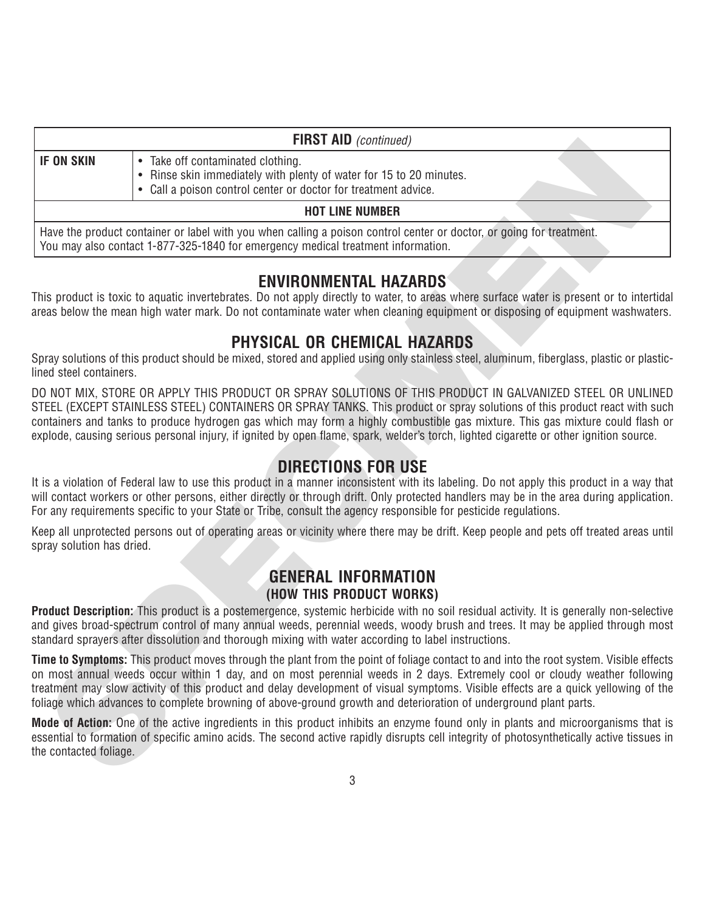|                           | <b>FIRST AID</b> (continued)                                                                                                                                                                                                                                                                                                                                                                                                                                                                                                         |
|---------------------------|--------------------------------------------------------------------------------------------------------------------------------------------------------------------------------------------------------------------------------------------------------------------------------------------------------------------------------------------------------------------------------------------------------------------------------------------------------------------------------------------------------------------------------------|
| <b>IF ON SKIN</b>         | • Take off contaminated clothing.<br>• Rinse skin immediately with plenty of water for 15 to 20 minutes.<br>• Call a poison control center or doctor for treatment advice.                                                                                                                                                                                                                                                                                                                                                           |
|                           | <b>HOT LINE NUMBER</b>                                                                                                                                                                                                                                                                                                                                                                                                                                                                                                               |
|                           | Have the product container or label with you when calling a poison control center or doctor, or going for treatment.<br>You may also contact 1-877-325-1840 for emergency medical treatment information.                                                                                                                                                                                                                                                                                                                             |
|                           | <b>ENVIRONMENTAL HAZARDS</b><br>This product is toxic to aquatic invertebrates. Do not apply directly to water, to areas where surface water is present or to intertidal<br>areas below the mean high water mark. Do not contaminate water when cleaning equipment or disposing of equipment washwaters.                                                                                                                                                                                                                             |
| ined steel containers.    | PHYSICAL OR CHEMICAL HAZARDS<br>Spray solutions of this product should be mixed, stored and applied using only stainless steel, aluminum, fiberglass, plastic or plastic-                                                                                                                                                                                                                                                                                                                                                            |
|                           | DO NOT MIX, STORE OR APPLY THIS PRODUCT OR SPRAY SOLUTIONS OF THIS PRODUCT IN GALVANIZED STEEL OR UNLINED<br>STEEL (EXCEPT STAINLESS STEEL) CONTAINERS OR SPRAY TANKS. This product or spray solutions of this product react with such<br>containers and tanks to produce hydrogen gas which may form a highly combustible gas mixture. This gas mixture could flash or<br>explode, causing serious personal injury, if ignited by open flame, spark, welder's torch, lighted cigarette or other ignition source.                    |
|                           | <b>DIRECTIONS FOR USE</b><br>It is a violation of Federal law to use this product in a manner inconsistent with its labeling. Do not apply this product in a way that<br>will contact workers or other persons, either directly or through drift. Only protected handlers may be in the area during application.<br>For any requirements specific to your State or Tribe, consult the agency responsible for pesticide regulations.                                                                                                  |
| spray solution has dried. | Keep all unprotected persons out of operating areas or vicinity where there may be drift. Keep people and pets off treated areas until                                                                                                                                                                                                                                                                                                                                                                                               |
|                           | <b>GENERAL INFORMATION</b><br>(HOW THIS PRODUCT WORKS)                                                                                                                                                                                                                                                                                                                                                                                                                                                                               |
|                           | Product Description: This product is a postemergence, systemic herbicide with no soil residual activity. It is generally non-selective<br>and gives broad-spectrum control of many annual weeds, perennial weeds, woody brush and trees. It may be applied through most<br>standard sprayers after dissolution and thorough mixing with water according to label instructions.                                                                                                                                                       |
|                           | <b>Time to Symptoms:</b> This product moves through the plant from the point of foliage contact to and into the root system. Visible effects<br>on most annual weeds occur within 1 day, and on most perennial weeds in 2 days. Extremely cool or cloudy weather following<br>treatment may slow activity of this product and delay development of visual symptoms. Visible effects are a quick yellowing of the<br>foliage which advances to complete browning of above-ground growth and deterioration of underground plant parts. |
| the contacted foliage.    | <b>Mode of Action:</b> One of the active ingredients in this product inhibits an enzyme found only in plants and microorganisms that is<br>essential to formation of specific amino acids. The second active rapidly disrupts cell integrity of photosynthetically active tissues in                                                                                                                                                                                                                                                 |
|                           | ₽                                                                                                                                                                                                                                                                                                                                                                                                                                                                                                                                    |

### **ENVIRONMENTAL HAZARDS**

### **PHYSICAL OR CHEMICAL HAZARDS**

## **DIRECTIONS FOR USE**

### **GENERAL INFORMATION (HOW THIS PRODUCT WORKS)**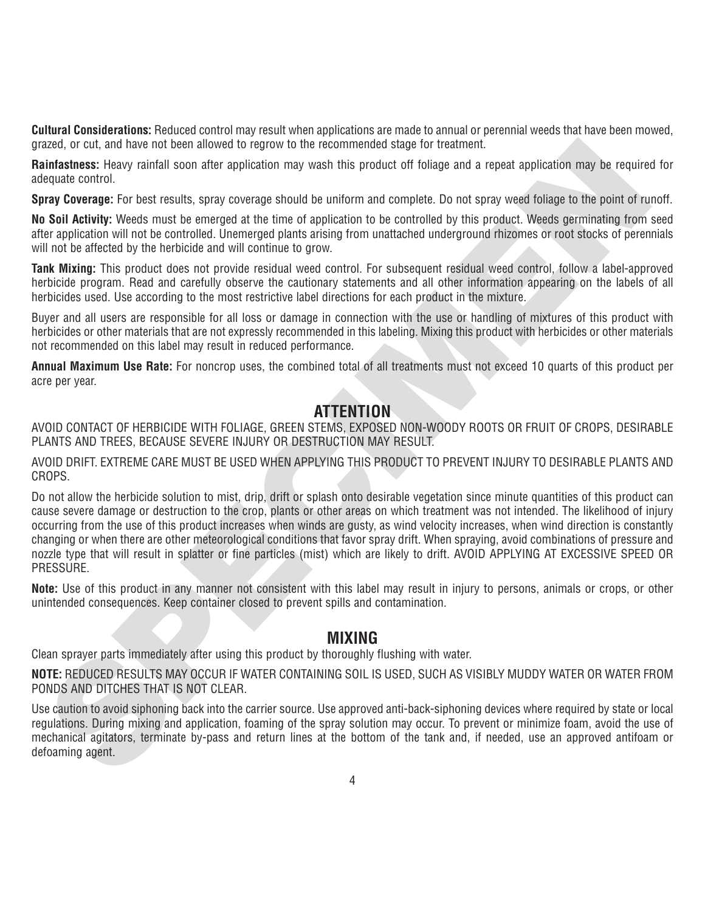**Cultural Considerations:** Reduced control may result when applications are made to annual or perennial weeds that have been mowed, grazed, or cut, and have not been allowed to regrow to the recommended stage for treatment.

**Rainfastness:** Heavy rainfall soon after application may wash this product off foliage and a repeat application may be required for adequate control.

**Spray Coverage:** For best results, spray coverage should be uniform and complete. Do not spray weed foliage to the point of runoff.

**No Soil Activity:** Weeds must be emerged at the time of application to be controlled by this product. Weeds germinating from seed after application will not be controlled. Unemerged plants arising from unattached underground rhizomes or root stocks of perennials will not be affected by the herbicide and will continue to grow.

**Tank Mixing:** This product does not provide residual weed control. For subsequent residual weed control, follow a label-approved herbicide program. Read and carefully observe the cautionary statements and all other information appearing on the labels of all herbicides used. Use according to the most restrictive label directions for each product in the mixture.

Buyer and all users are responsible for all loss or damage in connection with the use or handling of mixtures of this product with herbicides or other materials that are not expressly recommended in this labeling. Mixing this product with herbicides or other materials not recommended on this label may result in reduced performance.

**Annual Maximum Use Rate:** For noncrop uses, the combined total of all treatments must not exceed 10 quarts of this product per acre per year.

### **ATTENTION**

AVOID CONTACT OF HERBICIDE WITH FOLIAGE, GREEN STEMS, EXPOSED NON-WOODY ROOTS OR FRUIT OF CROPS, DESIRABLE PLANTS AND TREES, BECAUSE SEVERE INJURY OR DESTRUCTION MAY RESULT.

AVOID DRIFT. EXTREME CARE MUST BE USED WHEN APPLYING THIS PRODUCT TO PREVENT INJURY TO DESIRABLE PLANTS AND CROPS.

read, or orthodoxical state and three laterned for the recommended stage for treatment.<br> **Security:** The three control or the stage of the control or the product of foliage and a repeat application may be required<br>checute Do not allow the herbicide solution to mist, drip, drift or splash onto desirable vegetation since minute quantities of this product can cause severe damage or destruction to the crop, plants or other areas on which treatment was not intended. The likelihood of injury occurring from the use of this product increases when winds are gusty, as wind velocity increases, when wind direction is constantly changing or when there are other meteorological conditions that favor spray drift. When spraying, avoid combinations of pressure and nozzle type that will result in splatter or fine particles (mist) which are likely to drift. AVOID APPLYING AT EXCESSIVE SPEED OR PRESSURE.

**Note:** Use of this product in any manner not consistent with this label may result in injury to persons, animals or crops, or other unintended consequences. Keep container closed to prevent spills and contamination.

### **MIXING**

Clean sprayer parts immediately after using this product by thoroughly flushing with water.

**NOTE:** REDUCED RESULTS MAY OCCUR IF WATER CONTAINING SOIL IS USED, SUCH AS VISIBLY MUDDY WATER OR WATER FROM PONDS AND DITCHES THAT IS NOT CLEAR.

Use caution to avoid siphoning back into the carrier source. Use approved anti-back-siphoning devices where required by state or local regulations. During mixing and application, foaming of the spray solution may occur. To prevent or minimize foam, avoid the use of mechanical agitators, terminate by-pass and return lines at the bottom of the tank and, if needed, use an approved antifoam or defoaming agent.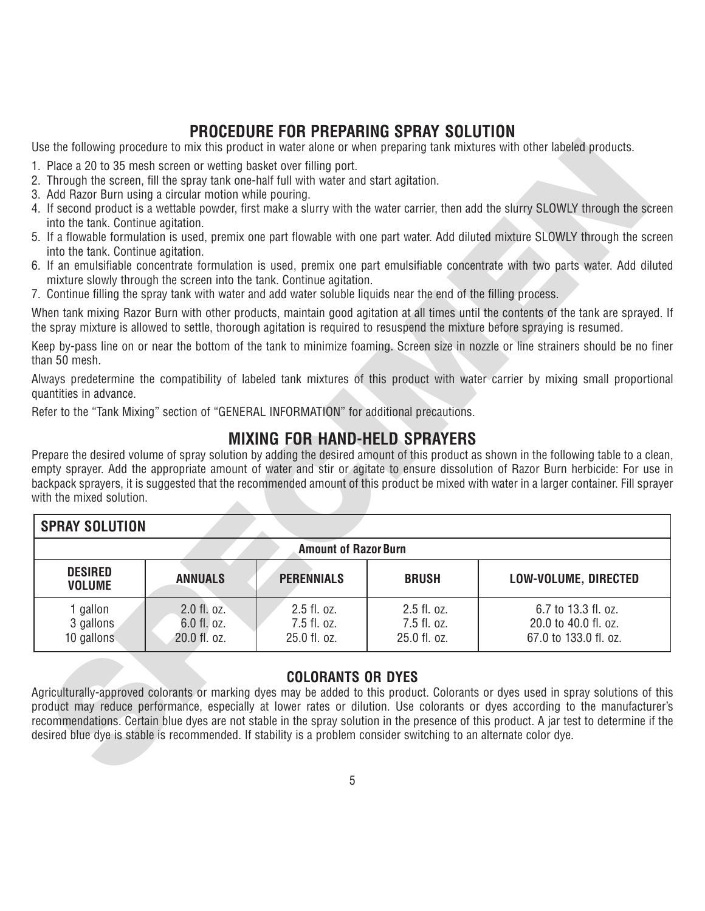### **PROCEDURE FOR PREPARING SPRAY SOLUTION**

- 1. Place a 20 to 35 mesh screen or wetting basket over filling port.
- 2. Through the screen, fill the spray tank one-half full with water and start agitation.
- 3. Add Razor Burn using a circular motion while pouring.
- 4. If second product is a wettable powder, first make a slurry with the water carrier, then add the slurry SLOWLY through the screen into the tank. Continue agitation.
- 5. If a flowable formulation is used, premix one part flowable with one part water. Add diluted mixture SLOWLY through the screen into the tank. Continue agitation.
- 6. If an emulsifiable concentrate formulation is used, premix one part emulsifiable concentrate with two parts water. Add diluted mixture slowly through the screen into the tank. Continue agitation.
- 7. Continue filling the spray tank with water and add water soluble liquids near the end of the filling process.

### **MIXING FOR HAND-HELD SPRAYERS**

|                                                                                                                                                                                                                              |                            |                                                                      |                            | Use the following procedure to mix this product in water alone or when preparing tank mixtures with other labeled products.                                                                                                                                                                                                                                                                                       |
|------------------------------------------------------------------------------------------------------------------------------------------------------------------------------------------------------------------------------|----------------------------|----------------------------------------------------------------------|----------------------------|-------------------------------------------------------------------------------------------------------------------------------------------------------------------------------------------------------------------------------------------------------------------------------------------------------------------------------------------------------------------------------------------------------------------|
| 1. Place a 20 to 35 mesh screen or wetting basket over filling port.<br>2. Through the screen, fill the spray tank one-half full with water and start agitation.<br>3. Add Razor Burn using a circular motion while pouring. |                            |                                                                      |                            |                                                                                                                                                                                                                                                                                                                                                                                                                   |
| into the tank. Continue agitation.                                                                                                                                                                                           |                            |                                                                      |                            | 4. If second product is a wettable powder, first make a slurry with the water carrier, then add the slurry SLOWLY through the screer                                                                                                                                                                                                                                                                              |
| into the tank. Continue agitation.                                                                                                                                                                                           |                            |                                                                      |                            | 5. If a flowable formulation is used, premix one part flowable with one part water. Add diluted mixture SLOWLY through the screen                                                                                                                                                                                                                                                                                 |
|                                                                                                                                                                                                                              |                            | mixture slowly through the screen into the tank. Continue agitation. |                            | 6. If an emulsifiable concentrate formulation is used, premix one part emulsifiable concentrate with two parts water. Add diluted                                                                                                                                                                                                                                                                                 |
| 7. Continue filling the spray tank with water and add water soluble liquids near the end of the filling process.                                                                                                             |                            |                                                                      |                            |                                                                                                                                                                                                                                                                                                                                                                                                                   |
|                                                                                                                                                                                                                              |                            |                                                                      |                            | When tank mixing Razor Burn with other products, maintain good agitation at all times until the contents of the tank are sprayed. It<br>the spray mixture is allowed to settle, thorough agitation is required to resuspend the mixture before spraying is resumed.                                                                                                                                               |
| than 50 mesh.                                                                                                                                                                                                                |                            |                                                                      |                            | Keep by-pass line on or near the bottom of the tank to minimize foaming. Screen size in nozzle or line strainers should be no fine                                                                                                                                                                                                                                                                                |
| quantities in advance.                                                                                                                                                                                                       |                            |                                                                      |                            | Always predetermine the compatibility of labeled tank mixtures of this product with water carrier by mixing small proportiona                                                                                                                                                                                                                                                                                     |
| Refer to the "Tank Mixing" section of "GENERAL INFORMATION" for additional precautions.                                                                                                                                      |                            |                                                                      |                            |                                                                                                                                                                                                                                                                                                                                                                                                                   |
|                                                                                                                                                                                                                              |                            | <b>MIXING FOR HAND-HELD SPRAYERS</b>                                 |                            |                                                                                                                                                                                                                                                                                                                                                                                                                   |
| with the mixed solution.                                                                                                                                                                                                     |                            |                                                                      |                            | Prepare the desired volume of spray solution by adding the desired amount of this product as shown in the following table to a clean<br>empty sprayer. Add the appropriate amount of water and stir or agitate to ensure dissolution of Razor Burn herbicide: For use ir<br>backpack sprayers, it is suggested that the recommended amount of this product be mixed with water in a larger container. Fill spraye |
| <b>SPRAY SOLUTION</b>                                                                                                                                                                                                        |                            |                                                                      |                            |                                                                                                                                                                                                                                                                                                                                                                                                                   |
|                                                                                                                                                                                                                              |                            | <b>Amount of Razor Burn</b>                                          |                            |                                                                                                                                                                                                                                                                                                                                                                                                                   |
| <b>DESIRED</b><br><b>VOLUME</b>                                                                                                                                                                                              | <b>ANNUALS</b>             | <b>PERENNIALS</b>                                                    | <b>BRUSH</b>               | LOW-VOLUME, DIRECTED                                                                                                                                                                                                                                                                                                                                                                                              |
| 1 gallon                                                                                                                                                                                                                     | 2.0 fl. oz.<br>6.0 fl. oz. | 2.5 fl. oz.<br>7.5 fl. oz.                                           | 2.5 fl. oz.<br>7.5 fl. oz. | 6.7 to 13.3 fl. oz.<br>20.0 to 40.0 fl. oz.                                                                                                                                                                                                                                                                                                                                                                       |
| 3 gallons<br>10 gallons                                                                                                                                                                                                      | 20.0 fl. oz.               | 25.0 fl. oz.                                                         | 25.0 fl. oz.               | 67.0 to 133.0 fl. oz.                                                                                                                                                                                                                                                                                                                                                                                             |
|                                                                                                                                                                                                                              |                            | <b>COLORANTS OR DYES</b>                                             |                            |                                                                                                                                                                                                                                                                                                                                                                                                                   |
|                                                                                                                                                                                                                              |                            |                                                                      |                            | Agriculturally-approved colorants or marking dyes may be added to this product. Colorants or dyes used in spray solutions of this                                                                                                                                                                                                                                                                                 |
|                                                                                                                                                                                                                              |                            |                                                                      |                            | product may reduce performance, especially at lower rates or dilution. Use colorants or dyes according to the manufacturer's<br>recommendations. Certain blue dyes are not stable in the spray solution in the presence of this product. A jar test to determine if the                                                                                                                                           |
| desired blue dye is stable is recommended. If stability is a problem consider switching to an alternate color dye.                                                                                                           |                            |                                                                      |                            |                                                                                                                                                                                                                                                                                                                                                                                                                   |
|                                                                                                                                                                                                                              |                            |                                                                      |                            |                                                                                                                                                                                                                                                                                                                                                                                                                   |
|                                                                                                                                                                                                                              |                            |                                                                      |                            |                                                                                                                                                                                                                                                                                                                                                                                                                   |

### **COLORANTS OR DYES**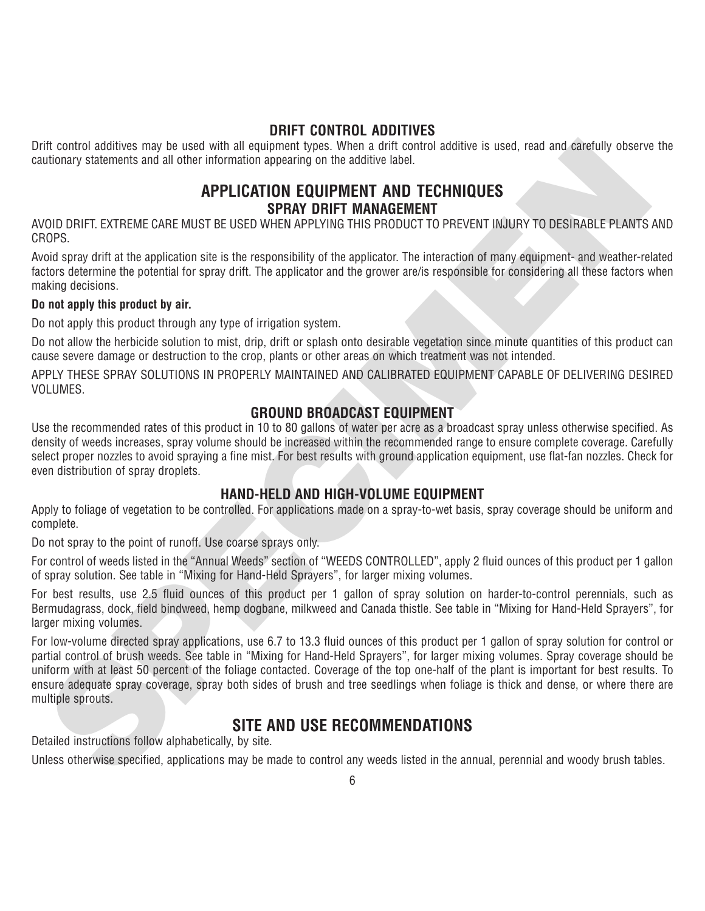### **DRIFT CONTROL ADDITIVES**

Drift control additives may be used with all equipment types. When a drift control additive is used, read and carefully observe the cautionary statements and all other information appearing on the additive label.

### **APPLICATION EQUIPMENT AND TECHNIQUES SPRAY DRIFT MANAGEMENT**

AVOID DRIFT. EXTREME CARE MUST BE USED WHEN APPLYING THIS PRODUCT TO PREVENT INJURY TO DESIRABLE PLANTS AND CROPS.

Avoid spray drift at the application site is the responsibility of the applicator. The interaction of many equipment- and weather-related factors determine the potential for spray drift. The applicator and the grower are/is responsible for considering all these factors when making decisions.

### **Do not apply this product by air.**

Do not apply this product through any type of irrigation system.

Do not allow the herbicide solution to mist, drip, drift or splash onto desirable vegetation since minute quantities of this product can cause severe damage or destruction to the crop, plants or other areas on which treatment was not intended.

APPLY THESE SPRAY SOLUTIONS IN PROPERLY MAINTAINED AND CALIBRATED EQUIPMENT CAPABLE OF DELIVERING DESIRED VOLUMES.

### **GROUND BROADCAST EQUIPMENT**

Use the recommended rates of this product in 10 to 80 gallons of water per acre as a broadcast spray unless otherwise specified. As density of weeds increases, spray volume should be increased within the recommended range to ensure complete coverage. Carefully select proper nozzles to avoid spraying a fine mist. For best results with ground application equipment, use flat-fan nozzles. Check for even distribution of spray droplets.

### **HAND-HELD AND HIGH-VOLUME EQUIPMENT**

Apply to foliage of vegetation to be controlled. For applications made on a spray-to-wet basis, spray coverage should be uniform and complete.

Do not spray to the point of runoff. Use coarse sprays only.

For control of weeds listed in the "Annual Weeds" section of "WEEDS CONTROLLED", apply 2 fluid ounces of this product per 1 gallon of spray solution. See table in "Mixing for Hand-Held Sprayers", for larger mixing volumes.

For best results, use 2.5 fluid ounces of this product per 1 gallon of spray solution on harder-to-control perennials, such as Bermudagrass, dock, field bindweed, hemp dogbane, milkweed and Canada thistle. See table in "Mixing for Hand-Held Sprayers", for larger mixing volumes.

int control additives may be used with a leadurent types. When a drift control additive is used, read and carefully observed to the material and the material and the material and the material and the material and the mater For low-volume directed spray applications, use 6.7 to 13.3 fluid ounces of this product per 1 gallon of spray solution for control or partial control of brush weeds. See table in "Mixing for Hand-Held Sprayers", for larger mixing volumes. Spray coverage should be uniform with at least 50 percent of the foliage contacted. Coverage of the top one-half of the plant is important for best results. To ensure adequate spray coverage, spray both sides of brush and tree seedlings when foliage is thick and dense, or where there are multiple sprouts.

### **SITE AND USE RECOMMENDATIONS**

Detailed instructions follow alphabetically, by site.

Unless otherwise specified, applications may be made to control any weeds listed in the annual, perennial and woody brush tables.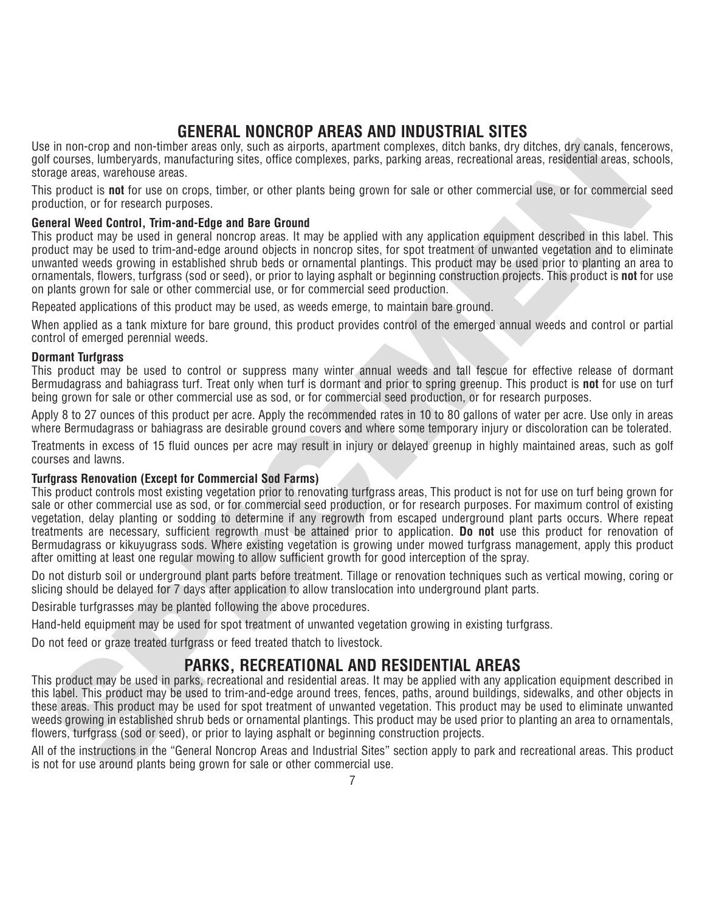### **GENERAL NONCROP AREAS AND INDUSTRIAL SITES**

Use in non-crop and non-timber areas only, such as airports, apartment complexes, ditch banks, dry ditches, dry canals, fencerows, golf courses, lumberyards, manufacturing sites, office complexes, parks, parking areas, recreational areas, residential areas, schools, storage areas, warehouse areas.

This product is **not** for use on crops, timber, or other plants being grown for sale or other commercial use, or for commercial seed production, or for research purposes.

### **General Weed Control, Trim-and-Edge and Bare Ground**

This product may be used in general noncrop areas. It may be applied with any application equipment described in this label. This product may be used to trim-and-edge around objects in noncrop sites, for spot treatment of unwanted vegetation and to eliminate unwanted weeds growing in established shrub beds or ornamental plantings. This product may be used prior to planting an area to ornamentals, flowers, turfgrass (sod or seed), or prior to laying asphalt or beginning construction projects. This product is **not** for use on plants grown for sale or other commercial use, or for commercial seed production.

Repeated applications of this product may be used, as weeds emerge, to maintain bare ground.

When applied as a tank mixture for bare ground, this product provides control of the emerged annual weeds and control or partial control of emerged perennial weeds.

### **Dormant Turfgrass**

This product may be used to control or suppress many winter annual weeds and tall fescue for effective release of dormant Bermudagrass and bahiagrass turf. Treat only when turf is dormant and prior to spring greenup. This product is **not** for use on turf being grown for sale or other commercial use as sod, or for commercial seed production, or for research purposes.

Apply 8 to 27 ounces of this product per acre. Apply the recommended rates in 10 to 80 gallons of water per acre. Use only in areas where Bermudagrass or bahiagrass are desirable ground covers and where some temporary injury or discoloration can be tolerated.

Treatments in excess of 15 fluid ounces per acre may result in injury or delayed greenup in highly maintained areas, such as golf courses and lawns.

### **Turfgrass Renovation (Except for Commercial Sod Farms)**

is in non-trop and non-time rarea only, suita is alignoris, assemine complexes, parts, and has a most complexe and the complexes and the station of properties. (In the complexe and the station of the station of the station This product controls most existing vegetation prior to renovating turfgrass areas, This product is not for use on turf being grown for sale or other commercial use as sod, or for commercial seed production, or for research purposes. For maximum control of existing vegetation, delay planting or sodding to determine if any regrowth from escaped underground plant parts occurs. Where repeat treatments are necessary, sufficient regrowth must be attained prior to application. **Do not** use this product for renovation of Bermudagrass or kikuyugrass sods. Where existing vegetation is growing under mowed turfgrass management, apply this product after omitting at least one regular mowing to allow sufficient growth for good interception of the spray.

Do not disturb soil or underground plant parts before treatment. Tillage or renovation techniques such as vertical mowing, coring or slicing should be delayed for 7 days after application to allow translocation into underground plant parts.

Desirable turfgrasses may be planted following the above procedures.

Hand-held equipment may be used for spot treatment of unwanted vegetation growing in existing turfgrass.

Do not feed or graze treated turfgrass or feed treated thatch to livestock.

### **PARKS, RECREATIONAL AND RESIDENTIAL AREAS**

This product may be used in parks, recreational and residential areas. It may be applied with any application equipment described in this label. This product may be used to trim-and-edge around trees, fences, paths, around buildings, sidewalks, and other objects in these areas. This product may be used for spot treatment of unwanted vegetation. This product may be used to eliminate unwanted weeds growing in established shrub beds or ornamental plantings. This product may be used prior to planting an area to ornamentals, flowers, turfgrass (sod or seed), or prior to laying asphalt or beginning construction projects.

All of the instructions in the "General Noncrop Areas and Industrial Sites" section apply to park and recreational areas. This product is not for use around plants being grown for sale or other commercial use.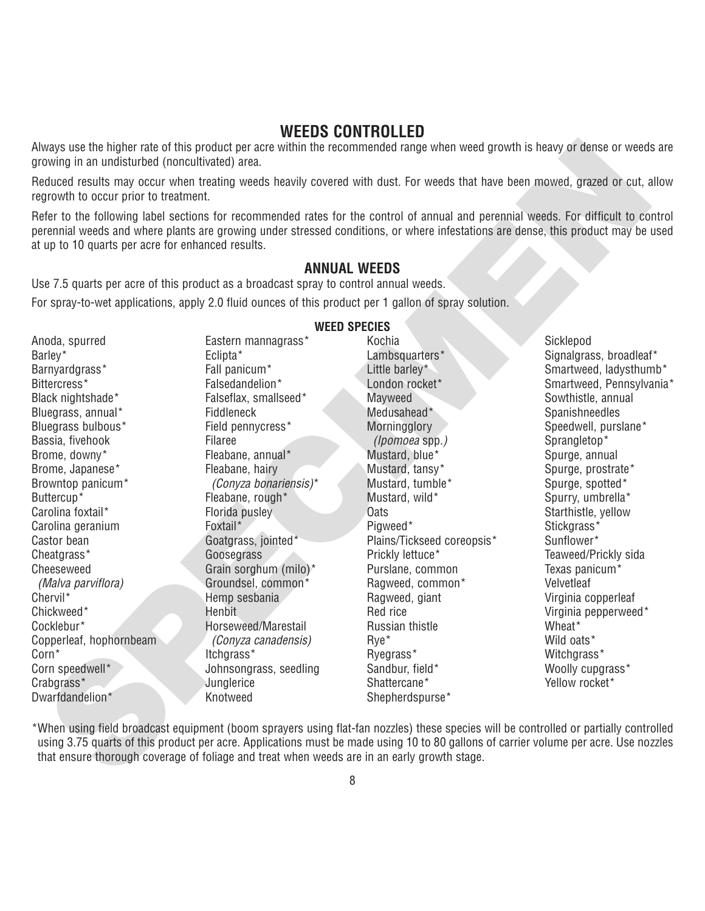### **WEEDS CONTROLLED**

### **ANNUAL WEEDS**

| growing in an undisturbed (noncultivated) area.                                             |                        | Always use the higher rate of this product per acre within the recommended range when weed growth is heavy or dense or weeds are                                                                                                                                                   |                            |
|---------------------------------------------------------------------------------------------|------------------------|------------------------------------------------------------------------------------------------------------------------------------------------------------------------------------------------------------------------------------------------------------------------------------|----------------------------|
| regrowth to occur prior to treatment.                                                       |                        | Reduced results may occur when treating weeds heavily covered with dust. For weeds that have been mowed, grazed or cut, allow                                                                                                                                                      |                            |
| at up to 10 quarts per acre for enhanced results.                                           |                        | Refer to the following label sections for recommended rates for the control of annual and perennial weeds. For difficult to control<br>perennial weeds and where plants are growing under stressed conditions, or where infestations are dense, this product may be used           |                            |
|                                                                                             |                        | <b>ANNUAL WEEDS</b>                                                                                                                                                                                                                                                                |                            |
| Use 7.5 quarts per acre of this product as a broadcast spray to control annual weeds.       |                        |                                                                                                                                                                                                                                                                                    |                            |
|                                                                                             |                        | For spray-to-wet applications, apply 2.0 fluid ounces of this product per 1 gallon of spray solution.                                                                                                                                                                              |                            |
|                                                                                             |                        | <b>WEED SPECIES</b>                                                                                                                                                                                                                                                                |                            |
| Anoda, spurred                                                                              | Eastern mannagrass*    | Kochia                                                                                                                                                                                                                                                                             | Sicklepod                  |
| Barley*                                                                                     | Eclipta*               | Lambsquarters*                                                                                                                                                                                                                                                                     | Signalgrass, broadleaf*    |
| Barnyardgrass*                                                                              | Fall panicum*          | Little barley*                                                                                                                                                                                                                                                                     | Smartweed, ladysthumb*     |
| Bittercress*                                                                                | Falsedandelion*        | London rocket*                                                                                                                                                                                                                                                                     | Smartweed, Pennsylvania*   |
| Black nightshade*                                                                           | Falseflax, smallseed*  | Mayweed                                                                                                                                                                                                                                                                            | Sowthistle, annual         |
| Bluegrass, annual*                                                                          | Fiddleneck             | Medusahead*                                                                                                                                                                                                                                                                        | Spanishneedles             |
| Bluegrass bulbous*                                                                          | Field pennycress*      | Morningglory                                                                                                                                                                                                                                                                       | Speedwell, purslane*       |
| Bassia, fivehook                                                                            | Filaree                | (Ipomoea spp.)                                                                                                                                                                                                                                                                     | Sprangletop*               |
| Brome, downy*                                                                               | Fleabane, annual*      | Mustard, blue*                                                                                                                                                                                                                                                                     | Spurge, annual             |
| Brome, Japanese*                                                                            | Fleabane, hairy        | Mustard, tansy*                                                                                                                                                                                                                                                                    | Spurge, prostrate*         |
| Browntop panicum*                                                                           | (Conyza bonariensis)*  | Mustard, tumble*                                                                                                                                                                                                                                                                   | Spurge, spotted*           |
| Buttercup*                                                                                  | Fleabane, rough*       | Mustard, wild*                                                                                                                                                                                                                                                                     | Spurry, umbrella*          |
| Carolina foxtail*                                                                           | Florida pusley         | <b>Oats</b>                                                                                                                                                                                                                                                                        | Starthistle, yellow        |
| Carolina geranium                                                                           | Foxtail*               | Pigweed*                                                                                                                                                                                                                                                                           | Stickgrass*                |
| Castor bean                                                                                 | Goatgrass, jointed*    | Plains/Tickseed coreopsis*                                                                                                                                                                                                                                                         | Sunflower*                 |
| Cheatgrass*                                                                                 | Goosegrass             | Prickly lettuce*                                                                                                                                                                                                                                                                   | Teaweed/Prickly sida       |
| Cheeseweed                                                                                  | Grain sorghum (milo)*  | Purslane, common                                                                                                                                                                                                                                                                   | Texas panicum <sup>*</sup> |
| (Malva parviflora)                                                                          | Groundsel, common*     | Ragweed, common*                                                                                                                                                                                                                                                                   | Velvetleaf                 |
| Chervil*                                                                                    | Hemp sesbania          | Ragweed, giant                                                                                                                                                                                                                                                                     | Virginia copperleaf        |
| Chickweed*                                                                                  | Henbit                 | Red rice                                                                                                                                                                                                                                                                           | Virginia pepperweed*       |
| Cocklebur*                                                                                  | Horseweed/Marestail    | Russian thistle                                                                                                                                                                                                                                                                    | Wheat*                     |
| Copperleaf, hophornbeam                                                                     | (Conyza canadensis)    | Rye <sup>*</sup>                                                                                                                                                                                                                                                                   | Wild oats*                 |
| Corn*                                                                                       | ltchgrass*             | Ryegrass*                                                                                                                                                                                                                                                                          | Witchgrass*                |
| Corn speedwell*                                                                             | Johnsongrass, seedling | Sandbur, field*                                                                                                                                                                                                                                                                    | Woolly cupgrass*           |
| Crabgrass*                                                                                  | Junglerice             | Shattercane*                                                                                                                                                                                                                                                                       | Yellow rocket*             |
| Dwarfdandelion*                                                                             | Knotweed               | Shepherdspurse*                                                                                                                                                                                                                                                                    |                            |
| that ensure thorough coverage of foliage and treat when weeds are in an early growth stage. |                        | *When using field broadcast equipment (boom sprayers using flat-fan nozzles) these species will be controlled or partially controlled<br>using 3.75 quarts of this product per acre. Applications must be made using 10 to 80 gallons of carrier volume per acre. Use nozzles<br>Q |                            |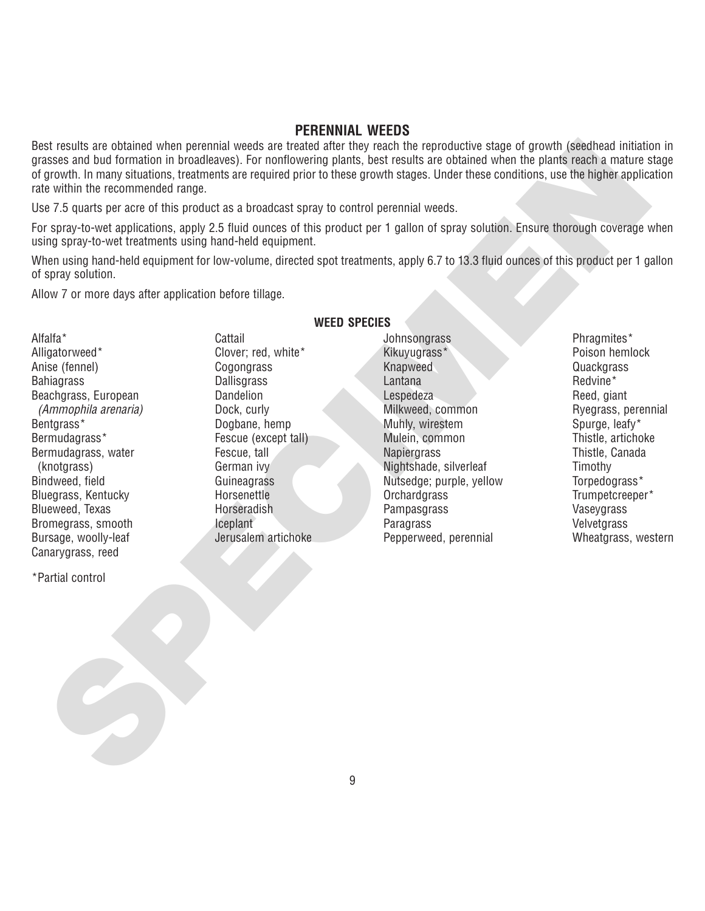### **PERENNIAL WEEDS**

stressing and the personial week are the control of the reproduction and the person of the control of the control of the control of the control of the control of the control of the control of the control of the control of Best results are obtained when perennial weeds are treated after they reach the reproductive stage of growth (seedhead initiation in grasses and bud formation in broadleaves). For nonflowering plants, best results are obtained when the plants reach a mature stage of growth. In many situations, treatments are required prior to these growth stages. Under these conditions, use the higher application rate within the recommended range.

Use 7.5 quarts per acre of this product as a broadcast spray to control perennial weeds.

For spray-to-wet applications, apply 2.5 fluid ounces of this product per 1 gallon of spray solution. Ensure thorough coverage when using spray-to-wet treatments using hand-held equipment.

When using hand-held equipment for low-volume, directed spot treatments, apply 6.7 to 13.3 fluid ounces of this product per 1 gallon of spray solution.

Allow 7 or more days after application before tillage.

Alfalfa\* Alligatorweed\* Anise (fennel) **Bahiagrass** Beachgrass, European (Ammophila arenaria) Bentgrass\* Bermudagrass\* Bermudagrass, water (knotgrass) Bindweed, field Bluegrass, Kentucky Blueweed, Texas Bromegrass, smooth Bursage, woolly-leaf Canarygrass, reed

**WEED SPECIES**

**Cattail** Clover; red, white\* **Cogongrass Dallisgrass** Dandelion Dock, curly Dogbane, hemp Fescue (except tall) Fescue, tall German ivy Guineagrass Horsenettle Horseradish Iceplant Jerusalem artichoke **Johnsongrass** Kikuyugrass\* Knapweed Lantana **Lespedeza** Milkweed, common Muhly, wirestem Mulein, common **Napiergrass** Nightshade, silverleaf Nutsedge; purple, yellow **Orchardgrass** Pampasgrass Paragrass Pepperweed, perennial

Phragmites\* Poison hemlock **Quackgrass** Redvine\* Reed, giant Ryegrass, perennial Spurge, leafy\* Thistle, artichoke Thistle, Canada **Timothy** Torpedograss\* Trumpetcreeper\* Vaseygrass Velvetgrass Wheatgrass, western

\*Partial control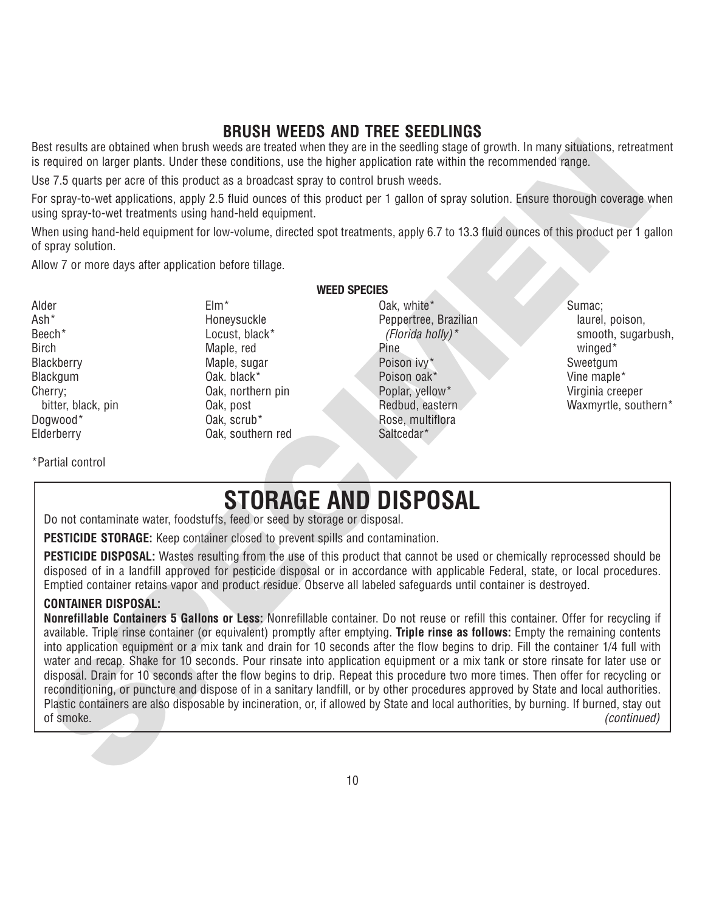### **BRUSH WEEDS AND TREE SEEDLINGS**

Best results are obtained when brush weeds are treated when they are in the seedling stage of growth. In many situations, retreatment is required on larger plants. Under these conditions, use the higher application rate within the recommended range.

Use 7.5 quarts per acre of this product as a broadcast spray to control brush weeds.

For spray-to-wet applications, apply 2.5 fluid ounces of this product per 1 gallon of spray solution. Ensure thorough coverage when using spray-to-wet treatments using hand-held equipment.

When using hand-held equipment for low-volume, directed spot treatments, apply 6.7 to 13.3 fluid ounces of this product per 1 gallon of spray solution.

Allow 7 or more days after application before tillage.

Alder Ash\* Beech\* **Birch Blackberry Blackgum** Cherry; bitter, black, pin Dogwood\* Elderberry

Elm\* Honeysuckle Locust, black\* Maple, red Maple, sugar Oak. black\* Oak, northern pin Oak, post Oak, scrub\* Oak, southern red **WEED SPECIES** Oak, white\* Peppertree, Brazilian (Florida holly)\* Pine Poison ivy\* Poison oak\* Poplar, yellow\* Redbud, eastern Rose, multiflora Saltcedar\*

Sumac; laurel, poison, smooth, sugarbush, winged<sup>\*</sup> Sweetgum Vine maple\* Virginia creeper Waxmyrtle, southern\*

\*Partial control

# **STORAGE AND DISPOSAL**

Do not contaminate water, foodstuffs, feed or seed by storage or disposal.

**PESTICIDE STORAGE:** Keep container closed to prevent spills and contamination.

**PESTICIDE DISPOSAL:** Wastes resulting from the use of this product that cannot be used or chemically reprocessed should be disposed of in a landfill approved for pesticide disposal or in accordance with applicable Federal, state, or local procedures. Emptied container retains vapor and product residue. Observe all labeled safeguards until container is destroyed.

### **CONTAINER DISPOSAL:**

set exacts to the brown broad when the state of the specific and the specific method with the recommediatinge, retreat exact of The Specific Control in the second of the specific control in the second of the specific speci **Nonrefillable Containers 5 Gallons or Less:** Nonrefillable container. Do not reuse or refill this container. Offer for recycling if available. Triple rinse container (or equivalent) promptly after emptying. **Triple rinse as follows:** Empty the remaining contents into application equipment or a mix tank and drain for 10 seconds after the flow begins to drip. Fill the container 1/4 full with water and recap. Shake for 10 seconds. Pour rinsate into application equipment or a mix tank or store rinsate for later use or disposal. Drain for 10 seconds after the flow begins to drip. Repeat this procedure two more times. Then offer for recycling or reconditioning, or puncture and dispose of in a sanitary landfill, or by other procedures approved by State and local authorities. Plastic containers are also disposable by incineration, or, if allowed by State and local authorities, by burning. If burned, stay out of smoke. (continued)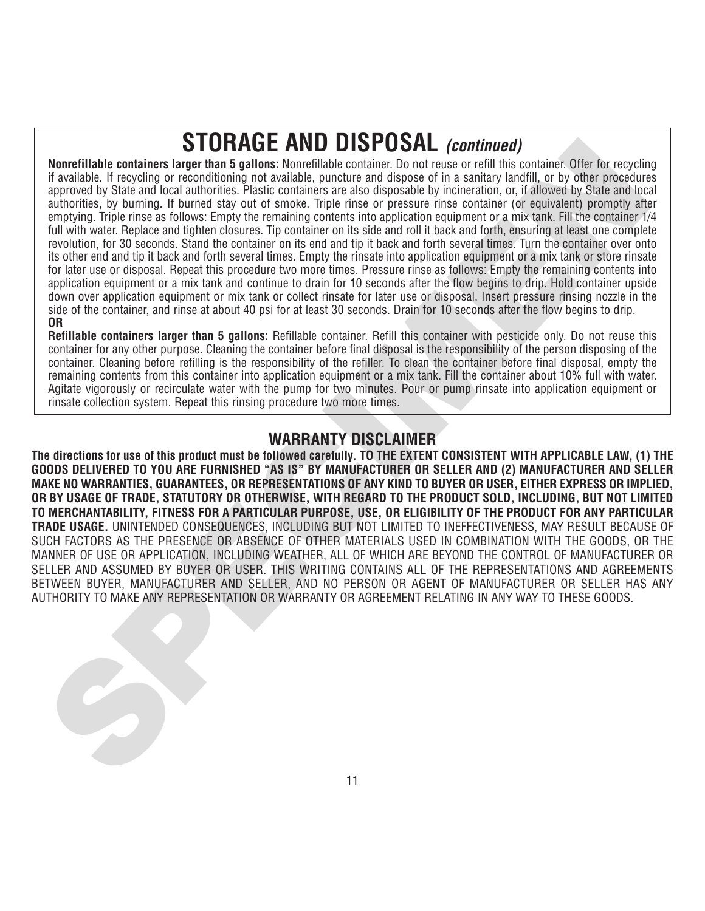# **STORAGE AND DISPOSAL (continued)**

**SPECIES AND ANOTHER CONSUMPARY CONSUMPATION**<br> **SPECIES AND USE AND USE CAN USE AND USE CAN ARREST TO ANOTHER CONSUMPATION**<br> **SPECIES AND CONSUMPARY TO SECULAR AND CONSUMPATIONS AND CONSUMPATIONS AND CONSUMPATIONS AND CONS Nonrefillable containers larger than 5 gallons:** Nonrefillable container. Do not reuse or refill this container. Offer for recycling if available. If recycling or reconditioning not available, puncture and dispose of in a sanitary landfill, or by other procedures approved by State and local authorities. Plastic containers are also disposable by incineration, or, if allowed by State and local authorities, by burning. If burned stay out of smoke. Triple rinse or pressure rinse container (or equivalent) promptly after emptying. Triple rinse as follows: Empty the remaining contents into application equipment or a mix tank. Fill the container 1/4 full with water. Replace and tighten closures. Tip container on its side and roll it back and forth, ensuring at least one complete revolution, for 30 seconds. Stand the container on its end and tip it back and forth several times. Turn the container over onto its other end and tip it back and forth several times. Empty the rinsate into application equipment or a mix tank or store rinsate for later use or disposal. Repeat this procedure two more times. Pressure rinse as follows: Empty the remaining contents into application equipment or a mix tank and continue to drain for 10 seconds after the flow begins to drip. Hold container upside down over application equipment or mix tank or collect rinsate for later use or disposal. Insert pressure rinsing nozzle in the side of the container, and rinse at about 40 psi for at least 30 seconds. Drain for 10 seconds after the flow begins to drip. **OR**

**Refillable containers larger than 5 gallons:** Refillable container. Refill this container with pesticide only. Do not reuse this container for any other purpose. Cleaning the container before final disposal is the responsibility of the person disposing of the container. Cleaning before refilling is the responsibility of the refiller. To clean the container before final disposal, empty the remaining contents from this container into application equipment or a mix tank. Fill the container about 10% full with water. Agitate vigorously or recirculate water with the pump for two minutes. Pour or pump rinsate into application equipment or rinsate collection system. Repeat this rinsing procedure two more times.

**The directions for use of this product must be followed carefully. TO THE EXTENT CONSISTENT WITH APPLICABLE LAW, (1) THE GOODS DELIVERED TO YOU ARE FURNISHED "AS IS" BY MANUFACTURER OR SELLER AND (2) MANUFACTURER AND SELLER MAKE NO WARRANTIES, GUARANTEES, OR REPRESENTATIONS OF ANY KIND TO BUYER OR USER, EITHER EXPRESS OR IMPLIED, OR BY USAGE OF TRADE, STATUTORY OR OTHERWISE, WITH REGARD TO THE PRODUCT SOLD, INCLUDING, BUT NOT LIMITED TO MERCHANTABILITY, FITNESS FOR A PARTICULAR PURPOSE, USE, OR ELIGIBILITY OF THE PRODUCT FOR ANY PARTICULAR TRADE USAGE.** UNINTENDED CONSEQUENCES, INCLUDING BUT NOT LIMITED TO INEFFECTIVENESS, MAY RESULT BECAUSE OF SUCH FACTORS AS THE PRESENCE OR ABSENCE OF OTHER MATERIALS USED IN COMBINATION WITH THE GOODS, OR THE MANNER OF USE OR APPLICATION, INCLUDING WEATHER, ALL OF WHICH ARE BEYOND THE CONTROL OF MANUFACTURER OR SELLER AND ASSUMED BY BUYER OR USER. THIS WRITING CONTAINS ALL OF THE REPRESENTATIONS AND AGREEMENTS BETWEEN BUYER, MANUFACTURER AND SELLER, AND NO PERSON OR AGENT OF MANUFACTURER OR SELLER HAS ANY AUTHORITY TO MAKE ANY REPRESENTATION OR WARRANTY OR AGREEMENT RELATING IN ANY WAY TO THESE GOODS.